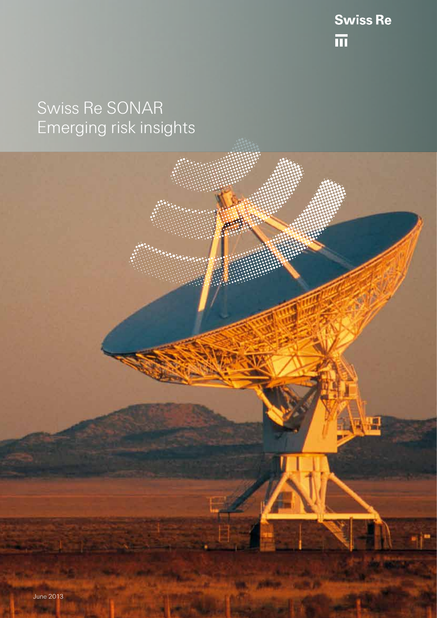Swiss Re

# Swiss Re SONAR Emerging risk insights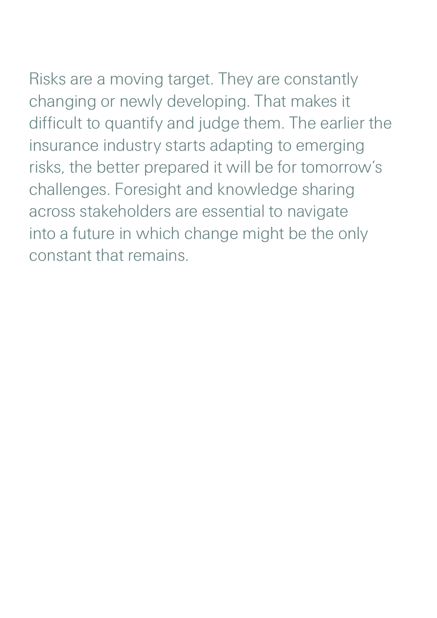Risks are a moving target. They are constantly changing or newly developing. That makes it difficult to quantify and judge them. The earlier the insurance industry starts adapting to emerging risks, the better prepared it will be for tomorrow's challenges. Foresight and knowledge sharing across stakeholders are essential to navigate into a future in which change might be the only constant that remains.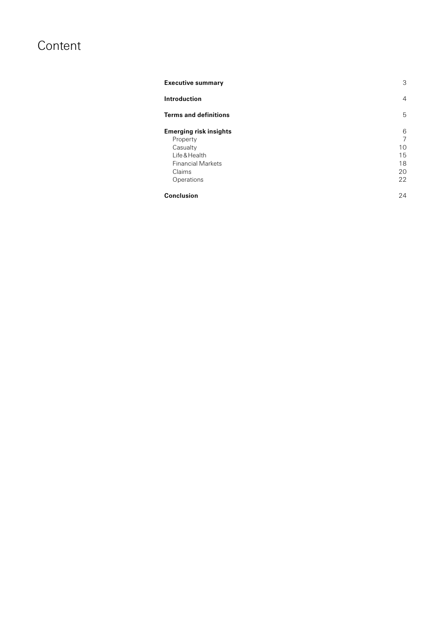## Content

| <b>Executive summary</b>      | 3              |
|-------------------------------|----------------|
| <b>Introduction</b>           | $\overline{4}$ |
| <b>Terms and definitions</b>  | 5              |
| <b>Emerging risk insights</b> | 6              |
| Property                      | 7              |
| Casualty                      | 10             |
| Life & Health                 | 15             |
| <b>Financial Markets</b>      | 18             |
| Claims                        | 20             |
| Operations                    | 22             |
| <b>Conclusion</b>             | 24             |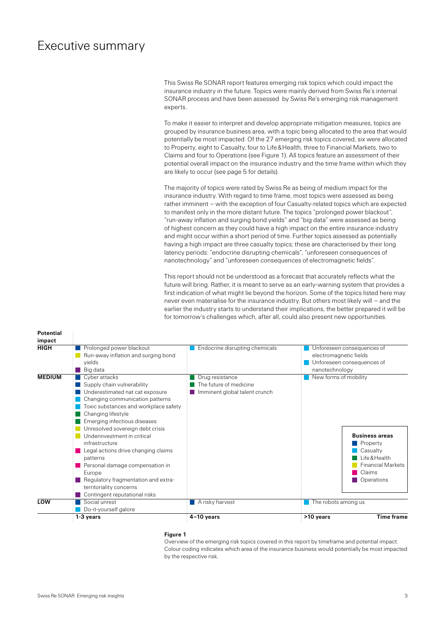### <span id="page-3-0"></span>Executive summary

This Swiss Re SONAR report features emerging risk topics which could impact the insurance industry in the future. Topics were mainly derived from Swiss Re's internal SONAR process and have been assessed by Swiss Re's emerging risk management experts.

To make it easier to interpret and develop appropriate mitigation measures, topics are grouped by insurance business area, with a topic being allocated to the area that would potentially be most impacted. Of the 27 emerging risk topics covered, six were allocated to Property, eight to Casualty, four to Life&Health, three to Financial Markets, two to Claims and four to Operations (see Figure 1). All topics feature an assessment of their potential overall impact on the insurance industry and the time frame within which they are likely to occur (see page 5 for details).

The majority of topics were rated by Swiss Re as being of medium impact for the insurance industry. With regard to time frame, most topics were assessed as being rather imminent – with the exception of four Casualty-related topics which are expected to manifest only in the more distant future. The topics "prolonged power blackout", "run-away inflation and surging bond yields" and "big data" were assessed as being of highest concern as they could have a high impact on the entire insurance industry and might occur within a short period of time. Further topics assessed as potentially having a high impact are three casualty topics; these are characterised by their long latency periods: "endocrine disrupting chemicals", "unforeseen consequences of nanotechnology" and "unforeseen consequences of electromagnetic fields".

This report should not be understood as a forecast that accurately reflects what the future will bring. Rather, it is meant to serve as an early-warning system that provides a first indication of what might lie beyond the horizon. Some of the topics listed here may never even materialise for the insurance industry. But others most likely will – and the earlier the industry starts to understand their implications, the better prepared it will be for tomorrow's challenges which, after all, could also present new opportunities.

| <b>Potential</b><br>impact |                                                                                                                                                                                                                                                                                                                                                                                                                                                                                                                         |                                                                            |                                                                                                                                             |
|----------------------------|-------------------------------------------------------------------------------------------------------------------------------------------------------------------------------------------------------------------------------------------------------------------------------------------------------------------------------------------------------------------------------------------------------------------------------------------------------------------------------------------------------------------------|----------------------------------------------------------------------------|---------------------------------------------------------------------------------------------------------------------------------------------|
| <b>HIGH</b>                | Prolonged power blackout<br>Run-away inflation and surging bond<br>vields<br>Big data                                                                                                                                                                                                                                                                                                                                                                                                                                   | Endocrine disrupting chemicals                                             | Unforeseen consequences of<br>electromagnetic fields<br>Unforeseen consequences of<br>nanotechnology                                        |
| <b>MEDIUM</b>              | $\blacksquare$ Cyber attacks<br>Supply chain vulnerability<br>Underestimated nat cat exposure<br>Changing communication patterns<br>Toxic substances and workplace safety<br>Changing lifestyle<br>Emerging infectious diseases<br>Unresolved sovereign debt crisis<br>Underinvestment in critical<br>infrastructure<br>Legal actions drive changing claims<br>patterns<br>Personal damage compensation in<br>Europe<br>Regulatory fragmentation and extra-<br>territoriality concerns<br>Contingent reputational risks | Drug resistance<br>The future of medicine<br>Imminent global talent crunch | New forms of mobility<br><b>Business areas</b><br>Property<br>Casualty<br>Life & Health<br><b>Financial Markets</b><br>Claims<br>Operations |
| LOW                        | Social unrest<br>Do-it-yourself galore                                                                                                                                                                                                                                                                                                                                                                                                                                                                                  | $\blacksquare$ A risky harvest                                             | $\blacksquare$ The robots among us                                                                                                          |
|                            | 1-3 years                                                                                                                                                                                                                                                                                                                                                                                                                                                                                                               | $4-10$ years                                                               | <b>Time frame</b><br>>10 years                                                                                                              |

#### **Figure 1**

Overview of the emerging risk topics covered in this report by timeframe and potential impact. Colour coding indicates which area of the insurance business would potentially be most impacted by the respective risk.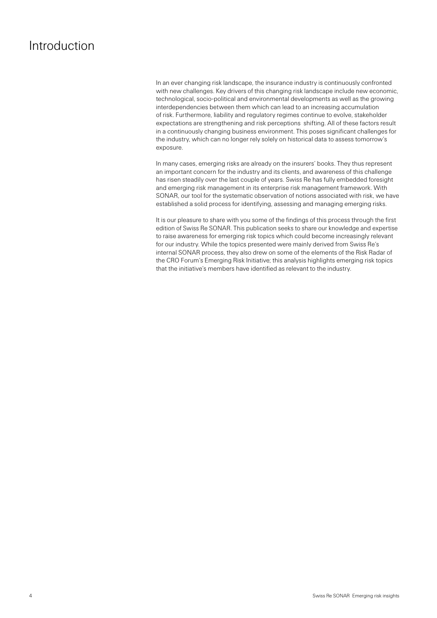### <span id="page-4-0"></span>Introduction

In an ever changing risk landscape, the insurance industry is continuously confronted with new challenges. Key drivers of this changing risk landscape include new economic, technological, socio-political and environmental developments as well as the growing interdependencies between them which can lead to an increasing accumulation of risk. Furthermore, liability and regulatory regimes continue to evolve, stakeholder expectations are strengthening and risk perceptions shifting. All of these factors result in a continuously changing business environment. This poses significant challenges for the industry, which can no longer rely solely on historical data to assess tomorrow's exposure.

In many cases, emerging risks are already on the insurers' books. They thus represent an important concern for the industry and its clients, and awareness of this challenge has risen steadily over the last couple of years. Swiss Re has fully embedded foresight and emerging risk management in its enterprise risk management framework. With SONAR, our tool for the systematic observation of notions associated with risk, we have established a solid process for identifying, assessing and managing emerging risks.

It is our pleasure to share with you some of the findings of this process through the first edition of Swiss Re SONAR. This publication seeks to share our knowledge and expertise to raise awareness for emerging risk topics which could become increasingly relevant for our industry. While the topics presented were mainly derived from Swiss Re's internal SONAR process, they also drew on some of the elements of the Risk Radar of the CRO Forum's Emerging Risk Initiative; this analysis highlights emerging risk topics that the initiative's members have identified as relevant to the industry.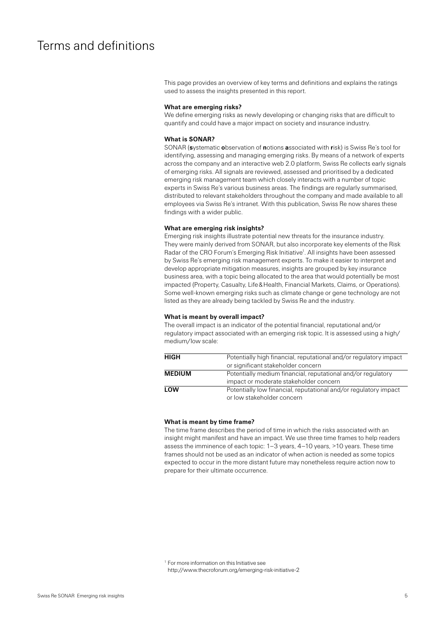### <span id="page-5-0"></span>Terms and definitions

This page provides an overview of key terms and definitions and explains the ratings used to assess the insights presented in this report.

#### **What are emerging risks?**

We define emerging risks as newly developing or changing risks that are difficult to quantify and could have a major impact on society and insurance industry.

#### **What is SONAR?**

SONAR (**s**ystematic **o**bservation of **n**otions **a**ssociated with **r**isk) is Swiss Re's tool for identifying, assessing and managing emerging risks. By means of a network of experts across the company and an interactive web 2.0 platform, Swiss Re collects early signals of emerging risks. All signals are reviewed, assessed and prioritised by a dedicated emerging risk management team which closely interacts with a number of topic experts in Swiss Re's various business areas. The findings are regularly summarised, distributed to relevant stakeholders throughout the company and made available to all employees via Swiss Re's intranet. With this publication, Swiss Re now shares these findings with a wider public.

#### **What are emerging risk insights?**

Emerging risk insights illustrate potential new threats for the insurance industry. They were mainly derived from SONAR, but also incorporate key elements of the Risk Radar of the CRO Forum's Emerging Risk Initiative<sup>1</sup>. All insights have been assessed by Swiss Re's emerging risk management experts. To make it easier to interpret and develop appropriate mitigation measures, insights are grouped by key insurance business area, with a topic being allocated to the area that would potentially be most impacted (Property, Casualty, Life&Health, Financial Markets, Claims, or Operations). Some well-known emerging risks such as climate change or gene technology are not listed as they are already being tackled by Swiss Re and the industry.

#### **What is meant by overall impact?**

The overall impact is an indicator of the potential financial, reputational and/or regulatory impact associated with an emerging risk topic. It is assessed using a high/ medium/low scale:

| HIGH          | Potentially high financial, reputational and/or regulatory impact |
|---------------|-------------------------------------------------------------------|
|               | or significant stakeholder concern                                |
| <b>MEDIUM</b> | Potentially medium financial, reputational and/or regulatory      |
|               | impact or moderate stakeholder concern                            |
| LOW           | Potentially low financial, reputational and/or regulatory impact  |
|               | or low stakeholder concern                                        |

#### **What is meant by time frame?**

The time frame describes the period of time in which the risks associated with an insight might manifest and have an impact. We use three time frames to help readers assess the imminence of each topic: 1–3 years, 4–10 years, >10 years. These time frames should not be used as an indicator of when action is needed as some topics expected to occur in the more distant future may nonetheless require action now to prepare for their ultimate occurrence.

<sup>&</sup>lt;sup>1</sup> For more information on this Initiative see http://www.thecroforum.org/emerging-risk-initiative-2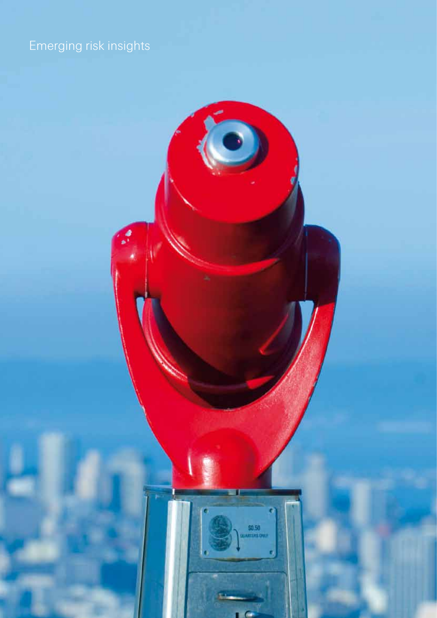# <span id="page-6-0"></span>Emerging risk insights

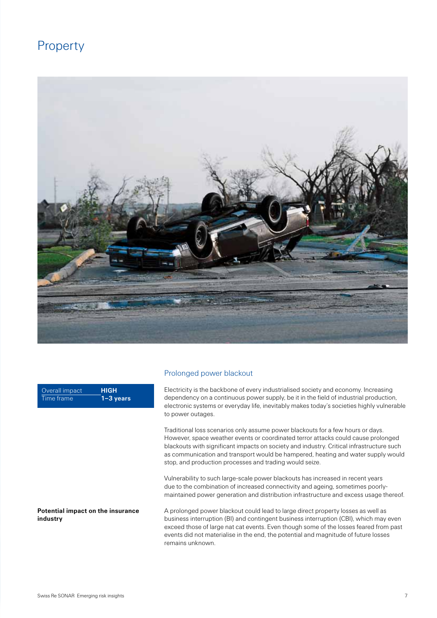### <span id="page-7-0"></span>Property



Overall impact Time frame **HIGH 1–3 years**

Prolonged power blackout

Electricity is the backbone of every industrialised society and economy. Increasing dependency on a continuous power supply, be it in the field of industrial production, electronic systems or everyday life, inevitably makes today's societies highly vulnerable to power outages.

Traditional loss scenarios only assume power blackouts for a few hours or days. However, space weather events or coordinated terror attacks could cause prolonged blackouts with significant impacts on society and industry. Critical infrastructure such as communication and transport would be hampered, heating and water supply would stop, and production processes and trading would seize.

Vulnerability to such large-scale power blackouts has increased in recent years due to the combination of increased connectivity and ageing, sometimes poorlymaintained power generation and distribution infrastructure and excess usage thereof.

A prolonged power blackout could lead to large direct property losses as well as business interruption (BI) and contingent business interruption (CBI), which may even exceed those of large nat cat events. Even though some of the losses feared from past events did not materialise in the end, the potential and magnitude of future losses remains unknown.

#### **Potential impact on the insurance industry**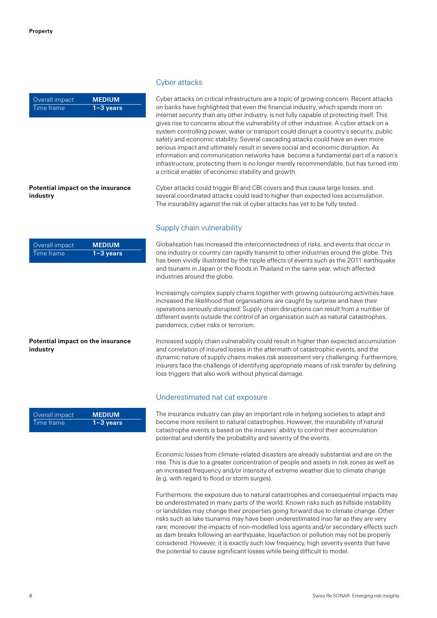| Overall impact | <b>MEDIUM</b> |
|----------------|---------------|
| Time frame     | $1 - 3$ years |

#### **Potential impact on the insurance industry**

| Overall impact | <b>MEDIUM</b> |
|----------------|---------------|
| Time frame.    | $1 - 3$ years |

#### **Potential impact on the insurance industry**

| Overall impact | <b>MEDIUM</b> |
|----------------|---------------|
| Time frame     | $1 - 3$ years |

#### Cyber attacks

Cyber attacks on critical infrastructure are a topic of growing concern. Recent attacks on banks have highlighted that even the financial industry, which spends more on internet security than any other industry, is not fully capable of protecting itself. This gives rise to concerns about the vulnerability of other industries. A cyber attack on a system controlling power, water or transport could disrupt a country's security, public safety and economic stability. Several cascading attacks could have an even more serious impact and ultimately result in severe social and economic disruption. As information and communication networks have become a fundamental part of a nation's infrastructure, protecting them is no longer merely recommendable, but has turned into a critical enabler of economic stability and growth.

Cyber attacks could trigger BI and CBI covers and thus cause large losses, and several coordinated attacks could lead to higher than expected loss accumulation. The insurability against the risk of cyber attacks has yet to be fully tested.

### Supply chain vulnerability

Globalisation has increased the interconnectedness of risks, and events that occur in one industry or country can rapidly transmit to other industries around the globe. This has been vividly illustrated by the ripple effects of events such as the 2011 earthquake and tsunami in Japan or the floods in Thailand in the same year, which affected industries around the globe.

Increasingly complex supply chains together with growing outsourcing activities have increased the likelihood that organisations are caught by surprise and have their operations seriously disrupted. Supply chain disruptions can result from a number of different events outside the control of an organisation such as natural catastrophes, pandemics, cyber risks or terrorism.

Increased supply chain vulnerability could result in higher than expected accumulation and correlation of insured losses in the aftermath of catastrophic events, and the dynamic nature of supply chains makes risk assessment very challenging. Furthermore, insurers face the challenge of identifying appropriate means of risk transfer by defining loss triggers that also work without physical damage.

#### Underestimated nat cat exposure

The insurance industry can play an important role in helping societies to adapt and become more resilient to natural catastrophes. However, the insurability of natural catastrophe events is based on the insurers' ability to control their accumulation potential and identify the probability and severity of the events.

Economic losses from climate-related disasters are already substantial and are on the rise. This is due to a greater concentration of people and assets in risk zones as well as an increased frequency and/or intensity of extreme weather due to climate change (e.g. with regard to flood or storm surges).

Furthermore, the exposure due to natural catastrophes and consequential impacts may be underestimated in many parts of the world. Known risks such as hillside instability or landslides may change their properties going forward due to climate change. Other risks such as lake tsunamis may have been underestimated inso far as they are very rare; moreover the impacts of non-modelled loss agents and/or secondary effects such as dam breaks following an earthquake, liquefaction or pollution may not be properly considered. However, it is exactly such low frequency, high severity events that have the potential to cause significant losses while being difficult to model.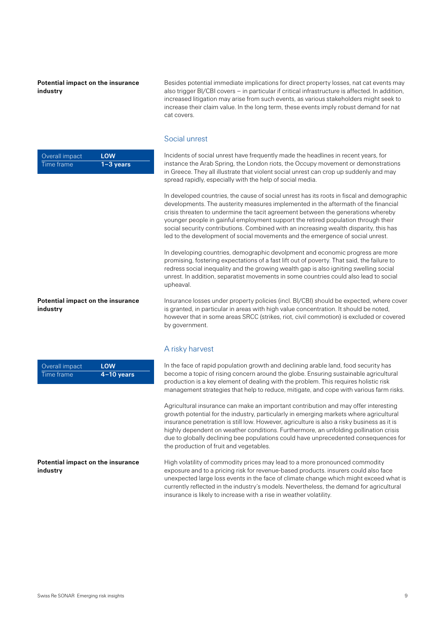**Potential impact on the insurance industry**

Besides potential immediate implications for direct property losses, nat cat events may also trigger BI/CBI covers – in particular if critical infrastructure is affected. In addition, increased litigation may arise from such events, as various stakeholders might seek to increase their claim value. In the long term, these events imply robust demand for nat cat covers.

#### Social unrest

Incidents of social unrest have frequently made the headlines in recent years, for instance the Arab Spring, the London riots, the Occupy movement or demonstrations in Greece. They all illustrate that violent social unrest can crop up suddenly and may spread rapidly, especially with the help of social media.

In developed countries, the cause of social unrest has its roots in fiscal and demographic developments. The austerity measures implemented in the aftermath of the financial crisis threaten to undermine the tacit agreement between the generations whereby younger people in gainful employment support the retired population through their social security contributions. Combined with an increasing wealth disparity, this has led to the development of social movements and the emergence of social unrest.

In developing countries, demographic devolpment and economic progress are more promising, fostering expectations of a fast lift out of poverty. That said, the failure to redress social inequality and the growing wealth gap is also igniting swelling social unrest. In addition, separatist movements in some countries could also lead to social upheaval.

Insurance losses under property policies (incl. BI/CBI) should be expected, where cover is granted, in particular in areas with high value concentration. It should be noted, however that in some areas SRCC (strikes, riot, civil commotion) is excluded or covered by government.

#### A risky harvest

In the face of rapid population growth and declining arable land, food security has become a topic of rising concern around the globe. Ensuring sustainable agricultural production is a key element of dealing with the problem. This requires holistic risk management strategies that help to reduce, mitigate, and cope with various farm risks.

Agricultural insurance can make an important contribution and may offer interesting growth potential for the industry, particularly in emerging markets where agricultural insurance penetration is still low. However, agriculture is also a risky business as it is highly dependent on weather conditions. Furthermore, an unfolding pollination crisis due to globally declining bee populations could have unprecedented consequences for the production of fruit and vegetables.

High volatility of commodity prices may lead to a more pronounced commodity exposure and to a pricing risk for revenue-based products. insurers could also face unexpected large loss events in the face of climate change which might exceed what is currently reflected in the industry's models. Nevertheless, the demand for agricultural insurance is likely to increase with a rise in weather volatility.

| Overall impact | LOW           |
|----------------|---------------|
| Time frame     | $1 - 3$ years |

**Potential impact on the insurance industry**

| Overall impact | LOW          |
|----------------|--------------|
| Time frame'    | $4-10$ years |

**Potential impact on the insurance industry**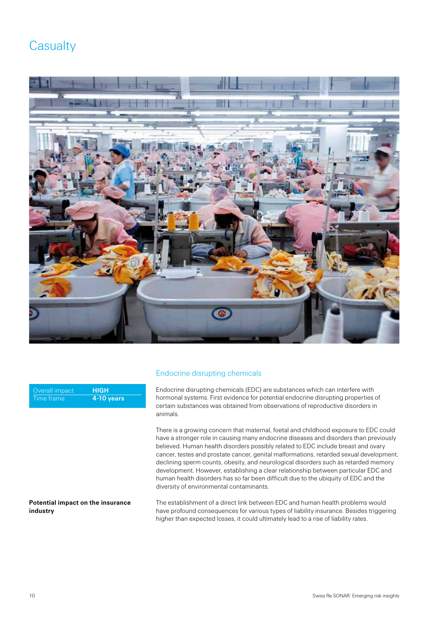### <span id="page-10-0"></span>**Casualty**



| Overall impact | <b>HIGH</b>  |
|----------------|--------------|
| ' Time frame   | $4-10$ years |

#### **Potential impact on the insurance industry**

### Endocrine disrupting chemicals

Endocrine disrupting chemicals (EDC) are substances which can interfere with hormonal systems. First evidence for potential endocrine disrupting properties of certain substances was obtained from observations of reproductive disorders in animals.

There is a growing concern that maternal, foetal and childhood exposure to EDC could have a stronger role in causing many endocrine diseases and disorders than previously believed. Human health disorders possibly related to EDC include breast and ovary cancer, testes and prostate cancer, genital malformations, retarded sexual development, declining sperm counts, obesity, and neurological disorders such as retarded memory development. However, establishing a clear relationship between particular EDC and human health disorders has so far been difficult due to the ubiquity of EDC and the diversity of environmental contaminants.

The establishment of a direct link between EDC and human health problems would have profound consequences for various types of liability insurance. Besides triggering higher than expected losses, it could ultimately lead to a rise of liability rates.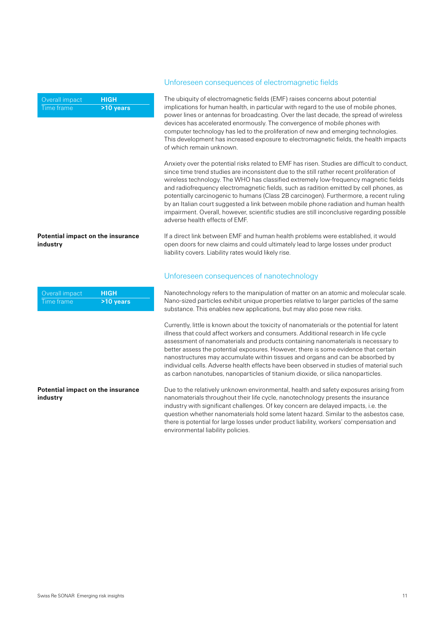Overall impact Time frame **HIGH >10 years**

#### **Potential impact on the insurance industry**

| Overall impact | <b>HIGH</b> |
|----------------|-------------|
| . Time frame'  | >10 years   |

#### **Potential impact on the insurance industry**

#### Unforeseen consequences of electromagnetic fields

The ubiquity of electromagnetic fields (EMF) raises concerns about potential implications for human health, in particular with regard to the use of mobile phones, power lines or antennas for broadcasting. Over the last decade, the spread of wireless devices has accelerated enormously. The convergence of mobile phones with computer technology has led to the proliferation of new and emerging technologies. This development has increased exposure to electromagnetic fields, the health impacts of which remain unknown.

Anxiety over the potential risks related to EMF has risen. Studies are difficult to conduct, since time trend studies are inconsistent due to the still rather recent proliferation of wireless technology. The WHO has classified extremely low-frequency magnetic fields and radiofrequency electromagnetic fields, such as radition emitted by cell phones, as potentially carcinogenic to humans (Class 2B carcinogen). Furthermore, a recent ruling by an Italian court suggested a link between mobile phone radiation and human health impairment. Overall, however, scientific studies are still inconclusive regarding possible adverse health effects of EMF.

If a direct link between EMF and human health problems were established, it would open doors for new claims and could ultimately lead to large losses under product liability covers. Liability rates would likely rise.

#### Unforeseen consequences of nanotechnology

Nanotechnology refers to the manipulation of matter on an atomic and molecular scale. Nano-sized particles exhibit unique properties relative to larger particles of the same substance. This enables new applications, but may also pose new risks.

Currently, little is known about the toxicity of nanomaterials or the potential for latent illness that could affect workers and consumers. Additional research in life cycle assessment of nanomaterials and products containing nanomaterials is necessary to better assess the potential exposures. However, there is some evidence that certain nanostructures may accumulate within tissues and organs and can be absorbed by individual cells. Adverse health effects have been observed in studies of material such as carbon nanotubes, nanoparticles of titanium dioxide, or silica nanoparticles.

Due to the relatively unknown environmental, health and safety exposures arising from nanomaterials throughout their life cycle, nanotechnology presents the insurance industry with significant challenges. Of key concern are delayed impacts, i.e. the question whether nanomaterials hold some latent hazard. Similar to the asbestos case, there is potential for large losses under product liability, workers' compensation and environmental liability policies.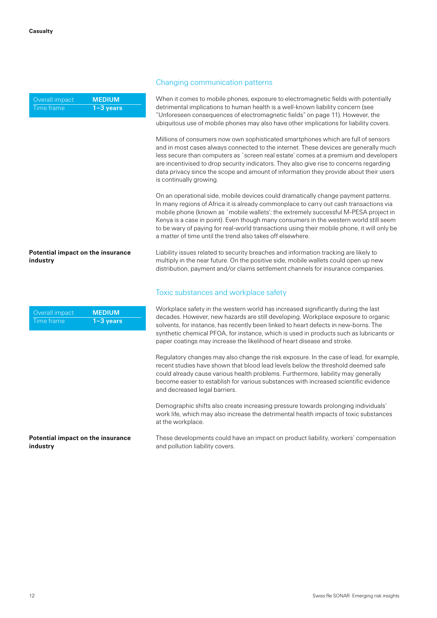| Overall impact | <b>MEDIUM</b> |
|----------------|---------------|
| Time frame     | ∣1−3 years'   |

#### **Potential impact on the insurance industry**

| Overall impact | <b>MEDIUM</b> |
|----------------|---------------|
| Time frame     | $1 - 3$ years |

#### **Potential impact on the insurance industry**

#### Changing communication patterns

When it comes to mobile phones, exposure to electromagnetic fields with potentially detrimental implications to human health is a well-known liability concern (see "Unforeseen consequences of electromagnetic fields" on page 11). However, the ubiquitous use of mobile phones may also have other implications for liability covers.

Millions of consumers now own sophisticated smartphones which are full of sensors and in most cases always connected to the internet. These devices are generally much less secure than computers as `screen real estate' comes at a premium and developers are incentivised to drop security indicators. They also give rise to concerns regarding data privacy since the scope and amount of information they provide about their users is continually growing.

On an operational side, mobile devices could dramatically change payment patterns. In many regions of Africa it is already commonplace to carry out cash transactions via mobile phone (known as `mobile wallets'; the extremely successful M-PESA project in Kenya is a case in point). Even though many consumers in the western world still seem to be wary of paying for real-world transactions using their mobile phone, it will only be a matter of time until the trend also takes off elsewhere.

Liability issues related to security breaches and information tracking are likely to multiply in the near future. On the positive side, mobile wallets could open up new distribution, payment and/or claims settlement channels for insurance companies.

#### Toxic substances and workplace safety

Workplace safety in the western world has increased significantly during the last decades. However, new hazards are still developing. Workplace exposure to organic solvents, for instance, has recently been linked to heart defects in new-borns. The synthetic chemical PFOA, for instance, which is used in products such as lubricants or paper coatings may increase the likelihood of heart disease and stroke.

Regulatory changes may also change the risk exposure. In the case of lead, for example, recent studies have shown that blood lead levels below the threshold deemed safe could already cause various health problems. Furthermore, liability may generally become easier to establish for various substances with increased scientific evidence and decreased legal barriers.

Demographic shifts also create increasing pressure towards prolonging individuals' work life, which may also increase the detrimental health impacts of toxic substances at the workplace.

These developments could have an impact on product liability, workers' compensation and pollution liability covers.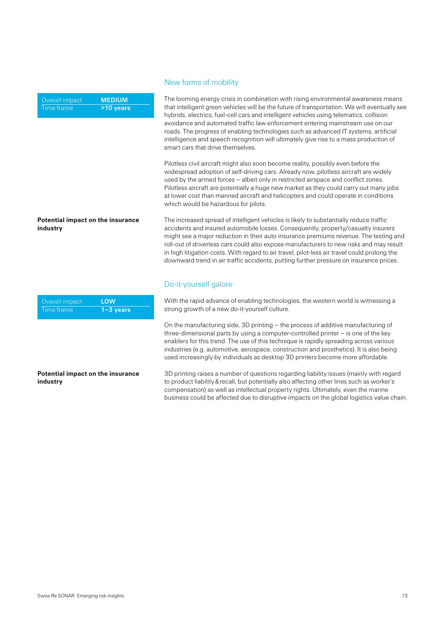Overall impact Time frame **MEDIUM >10 years**

## **Potential impact on the insurance**

#### **industry**

| Overall impact | LOW         |
|----------------|-------------|
| ∟Time frame    | ′1−3 vears, |

#### **Potential impact on the insurance industry**

#### New forms of mobility

The looming energy crisis in combination with rising environmental awareness means that intelligent green vehicles will be the future of transportation. We will eventually see hybrids, electrics, fuel-cell cars and intelligent vehicles using telematics, collision avoidance and automated traffic law enforcement entering mainstream use on our roads. The progress of enabling technologies such as advanced IT systems, artificial intelligence and speech recognition will ultimately give rise to a mass production of smart cars that drive themselves.

Pilotless civil aircraft might also soon become reality, possibly even before the widespread adoption of self-driving cars. Already now, pilotless aircraft are widely used by the armed forces – albeit only in restricted airspace and conflict zones. Pilotless aircraft are potentially a huge new market as they could carry out many jobs at lower cost than manned aircraft and helicopters and could operate in conditions which would be hazardous for pilots.

The increased spread of intelligent vehicles is likely to substantially reduce traffic accidents and insured automobile losses. Consequently, property/casualty insurers might see a major reduction in their auto insurance premiums revenue. The testing and roll-out of driverless cars could also expose manufacturers to new risks and may result in high litigation costs. With regard to air travel, pilot-less air travel could prolong the downward trend in air traffic accidents, putting further pressure on insurance prices.

### Do-it-yourself galore

With the rapid advance of enabling technologies, the western world is witnessing a strong growth of a new do-it-yourself culture.

On the manufacturing side, 3D printing – the process of additive manufacturing of three-dimensional parts by using a computer-controlled printer – is one of the key enablers for this trend. The use of this technique is rapidly spreading across various industries (e.g. automotive, aerospace, construction and prosthetics). It is also being used increasingly by individuals as desktop 3D printers become more affordable.

3D printing raises a number of questions regarding liability issues (mainly with regard to product liability&recall, but potentially also affecting other lines such as worker's compensation) as well as intellectual property rights. Ultimately, even the marine business could be affected due to disruptive impacts on the global logistics value chain.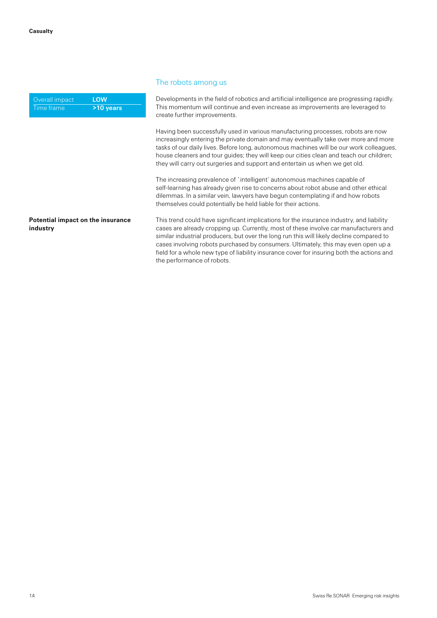**industry**

| Overall impact | LOW       |
|----------------|-----------|
| Time frame     | >10 years |

#### The robots among us

Developments in the field of robotics and artificial intelligence are progressing rapidly. This momentum will continue and even increase as improvements are leveraged to create further improvements.

Having been successfully used in various manufacturing processes, robots are now increasingly entering the private domain and may eventually take over more and more tasks of our daily lives. Before long, autonomous machines will be our work colleagues, house cleaners and tour guides; they will keep our cities clean and teach our children; they will carry out surgeries and support and entertain us when we get old.

The increasing prevalence of `intelligent' autonomous machines capable of self-learning has already given rise to concerns about robot abuse and other ethical dilemmas. In a similar vein, lawyers have begun contemplating if and how robots themselves could potentially be held liable for their actions.

This trend could have significant implications for the insurance industry, and liability cases are already cropping up. Currently, most of these involve car manufacturers and similar industrial producers, but over the long run this will likely decline compared to cases involving robots purchased by consumers. Ultimately, this may even open up a field for a whole new type of liability insurance cover for insuring both the actions and the performance of robots. **Potential impact on the insurance**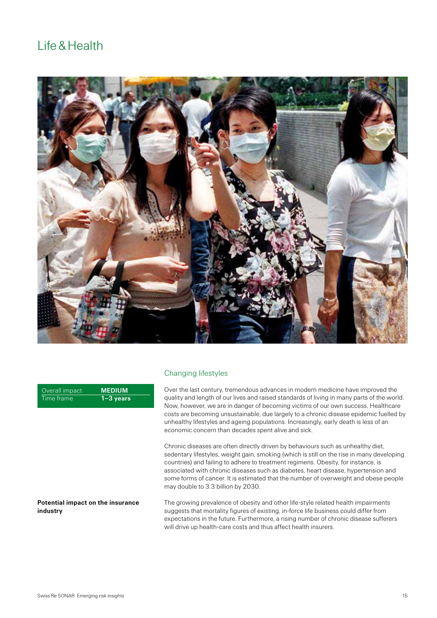### <span id="page-15-0"></span>Life&Health



Changing lifestyles

| Overall impact | <b>MEDIUM</b> |
|----------------|---------------|
| Time frame     | $1 - 3$ years |

#### **Potential impact on the insurance industry**

# Over the last century, tremendous advances in modern medicine have improved the quality and length of our lives and raised standards of living in many parts of the world.

Now, however, we are in danger of becoming victims of our own success. Healthcare costs are becoming unsustainable, due largely to a chronic disease epidemic fuelled by unhealthy lifestyles and ageing populations. Increasingly, early death is less of an economic concern than decades spent alive and sick.

Chronic diseases are often directly driven by behaviours such as unhealthy diet, sedentary lifestyles, weight gain, smoking (which is still on the rise in many developing countries) and failing to adhere to treatment regimens. Obesity, for instance, is associated with chronic diseases such as diabetes, heart disease, hypertension and some forms of cancer. It is estimated that the number of overweight and obese people may double to 3.3 billion by 2030.

The growing prevalence of obesity and other life-style related health impairments suggests that mortality figures of existing, in-force life business could differ from expectations in the future. Furthermore, a rising number of chronic disease sufferers will drive up health-care costs and thus affect health insurers.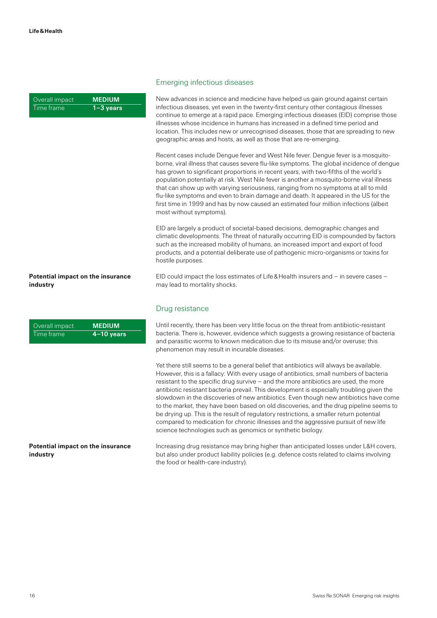| Overall impact, | <b>MEDIUM</b> |
|-----------------|---------------|
| Time frame      | $1 - 3$ years |

#### **Potential impact on the insurance industry**

| Overall impact | <b>MEDIUM</b> |
|----------------|---------------|
| Time frame     | $4-10$ years  |

#### **Potential impact on the insurance industry**

#### Emerging infectious diseases

New advances in science and medicine have helped us gain ground against certain infectious diseases, yet even in the twenty-first century other contagious illnesses continue to emerge at a rapid pace. Emerging infectious diseases (EID) comprise those illnesses whose incidence in humans has increased in a defined time period and location. This includes new or unrecognised diseases, those that are spreading to new geographic areas and hosts, as well as those that are re-emerging.

Recent cases include Dengue fever and West Nile fever. Dengue fever is a mosquitoborne, viral illness that causes severe flu-like symptoms. The global incidence of dengue has grown to significant proportions in recent years, with two-fifths of the world's population potentially at risk. West Nile fever is another a mosquito-borne viral illness that can show up with varying seriousness, ranging from no symptoms at all to mild flu-like symptoms and even to brain damage and death. It appeared in the US for the first time in 1999 and has by now caused an estimated four million infections (albeit most without symptoms).

EID are largely a product of societal-based decisions, demographic changes and climatic developments. The threat of naturally occurring EID is compounded by factors such as the increased mobility of humans, an increased import and export of food products, and a potential deliberate use of pathogenic micro-organisms or toxins for hostile purposes.

EID could impact the loss estimates of Life&Health insurers and – in severe cases – may lead to mortality shocks.

#### Drug resistance

Until recently, there has been very little focus on the threat from antibiotic-resistant bacteria. There is, however, evidence which suggests a growing resistance of bacteria and parasitic worms to known medication due to its misuse and/or overuse; this phenomenon may result in incurable diseases.

Yet there still seems to be a general belief that antibiotics will always be available. However, this is a fallacy: With every usage of antibiotics, small numbers of bacteria resistant to the specific drug survive – and the more antibiotics are used, the more antibiotic resistant bacteria prevail. This development is especially troubling given the slowdown in the discoveries of new antibiotics. Even though new antibiotics have come to the market, they have been based on old discoveries, and the drug pipeline seems to be drying up. This is the result of regulatory restrictions, a smaller return potential compared to medication for chronic illnesses and the aggressive pursuit of new life science technologies such as genomics or synthetic biology.

Increasing drug resistance may bring higher than anticipated losses under L&H covers, but also under product liability policies (e.g. defence costs related to claims involving the food or health-care industry).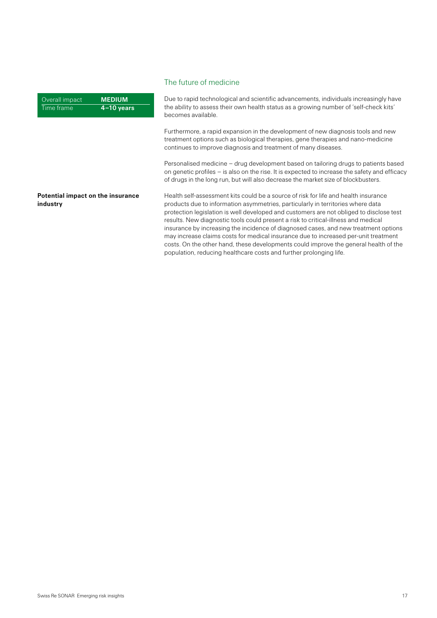#### Overall impact Time frame **MEDIUM 4–10 years**

### The future of medicine

Due to rapid technological and scientific advancements, individuals increasingly have the ability to assess their own health status as a growing number of 'self-check kits' becomes available.

Furthermore, a rapid expansion in the development of new diagnosis tools and new treatment options such as biological therapies, gene therapies and nano-medicine continues to improve diagnosis and treatment of many diseases.

Personalised medicine – drug development based on tailoring drugs to patients based on genetic profiles – is also on the rise. It is expected to increase the safety and efficacy of drugs in the long run, but will also decrease the market size of blockbusters.

Health self-assessment kits could be a source of risk for life and health insurance products due to information asymmetries, particularly in territories where data protection legislation is well developed and customers are not obliged to disclose test results. New diagnostic tools could present a risk to critical-illness and medical insurance by increasing the incidence of diagnosed cases, and new treatment options may increase claims costs for medical insurance due to increased per-unit treatment costs. On the other hand, these developments could improve the general health of the population, reducing healthcare costs and further prolonging life.

#### **Potential impact on the insurance industry**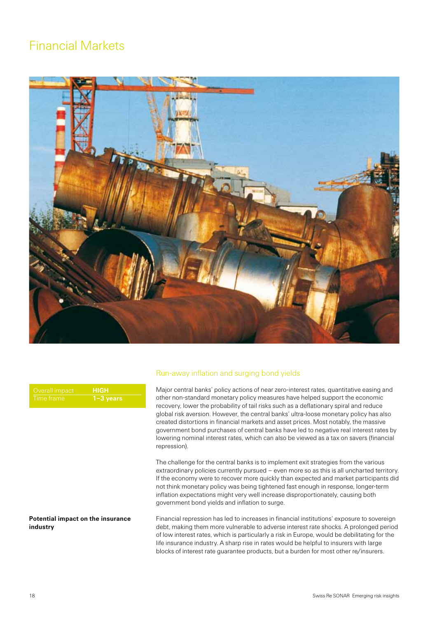### <span id="page-18-0"></span>Financial Markets



| Overall impact | \НІGH'        |
|----------------|---------------|
| Time frame     | $1 - 3$ years |

#### **Potential impact on the insurance industry**

#### Run-away inflation and surging bond yields

Major central banks' policy actions of near zero-interest rates, quantitative easing and other non-standard monetary policy measures have helped support the economic recovery, lower the probability of tail risks such as a deflationary spiral and reduce global risk aversion. However, the central banks' ultra-loose monetary policy has also created distortions in financial markets and asset prices. Most notably, the massive government bond purchases of central banks have led to negative real interest rates by lowering nominal interest rates, which can also be viewed as a tax on savers (financial repression).

The challenge for the central banks is to implement exit strategies from the various extraordinary policies currently pursued – even more so as this is all uncharted territory. If the economy were to recover more quickly than expected and market participants did not think monetary policy was being tightened fast enough in response, longer-term inflation expectations might very well increase disproportionately, causing both government bond yields and inflation to surge.

Financial repression has led to increases in financial institutions' exposure to sovereign debt, making them more vulnerable to adverse interest rate shocks. A prolonged period of low interest rates, which is particularly a risk in Europe, would be debilitating for the life insurance industry. A sharp rise in rates would be helpful to insurers with large blocks of interest rate guarantee products, but a burden for most other re/insurers.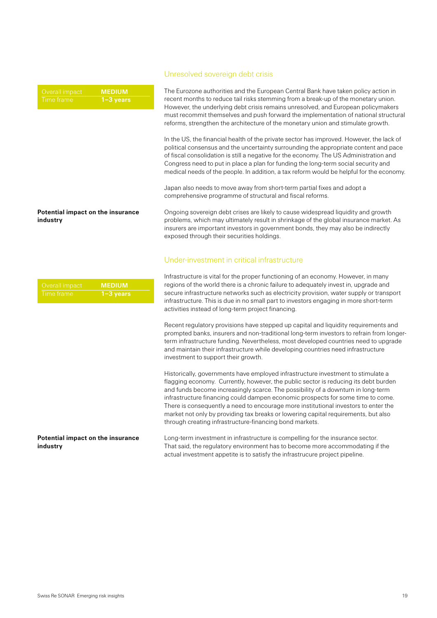#### **Potential impact on the insurance industry**

| Overall impact, | <b>MEDIUM</b> |
|-----------------|---------------|
| Time frame      | $1 - 3$ years |

#### **Potential impact on the insurance industry**

#### Unresolved sovereign debt crisis

The Eurozone authorities and the European Central Bank have taken policy action in recent months to reduce tail risks stemming from a break-up of the monetary union. However, the underlying debt crisis remains unresolved, and European policymakers must recommit themselves and push forward the implementation of national structural reforms, strengthen the architecture of the monetary union and stimulate growth.

In the US, the financial health of the private sector has improved. However, the lack of political consensus and the uncertainty surrounding the appropriate content and pace of fiscal consolidation is still a negative for the economy. The US Administration and Congress need to put in place a plan for funding the long-term social security and medical needs of the people. In addition, a tax reform would be helpful for the economy.

Japan also needs to move away from short-term partial fixes and adopt a comprehensive programme of structural and fiscal reforms.

Ongoing sovereign debt crises are likely to cause widespread liquidity and growth problems, which may ultimately result in shrinkage of the global insurance market. As insurers are important investors in government bonds, they may also be indirectly exposed through their securities holdings.

#### Under-investment in critical infrastructure

Infrastructure is vital for the proper functioning of an economy. However, in many regions of the world there is a chronic failure to adequately invest in, upgrade and secure infrastructure networks such as electricity provision, water supply or transport infrastructure. This is due in no small part to investors engaging in more short-term activities instead of long-term project financing.

Recent regulatory provisions have stepped up capital and liquidity requirements and prompted banks, insurers and non-traditional long-term investors to refrain from longerterm infrastructure funding. Nevertheless, most developed countries need to upgrade and maintain their infrastructure while developing countries need infrastructure investment to support their growth.

Historically, governments have employed infrastructure investment to stimulate a flagging economy. Currently, however, the public sector is reducing its debt burden and funds become increasingly scarce. The possibility of a downturn in long-term infrastructure financing could dampen economic prospects for some time to come. There is consequently a need to encourage more institutional investors to enter the market not only by providing tax breaks or lowering capital requirements, but also through creating infrastructure-financing bond markets.

Long-term investment in infrastructure is compelling for the insurance sector. That said, the regulatory environment has to become more accommodating if the actual investment appetite is to satisfy the infrastrucure project pipeline.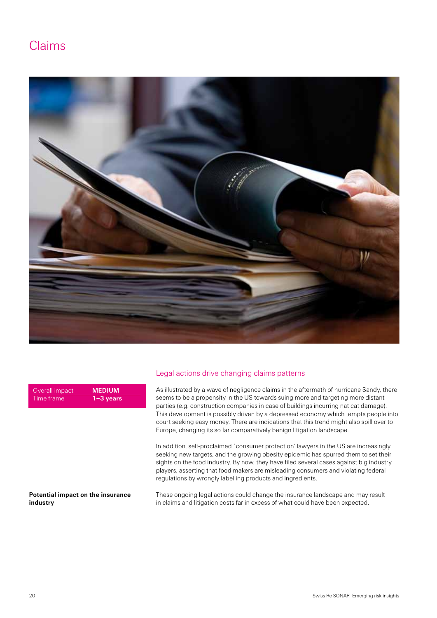### <span id="page-20-0"></span>Claims



| Overall impact | <b>MEDIUM</b> |
|----------------|---------------|
| ' Time frame   | $1 - 3$ years |

#### **Potential impact on the insurance industry**

#### Legal actions drive changing claims patterns

As illustrated by a wave of negligence claims in the aftermath of hurricane Sandy, there seems to be a propensity in the US towards suing more and targeting more distant parties (e.g. construction companies in case of buildings incurring nat cat damage). This development is possibly driven by a depressed economy which tempts people into court seeking easy money. There are indications that this trend might also spill over to Europe, changing its so far comparatively benign litigation landscape.

In addition, self-proclaimed `consumer protection' lawyers in the US are increasingly seeking new targets, and the growing obesity epidemic has spurred them to set their sights on the food industry. By now, they have filed several cases against big industry players, asserting that food makers are misleading consumers and violating federal regulations by wrongly labelling products and ingredients.

These ongoing legal actions could change the insurance landscape and may result in claims and litigation costs far in excess of what could have been expected.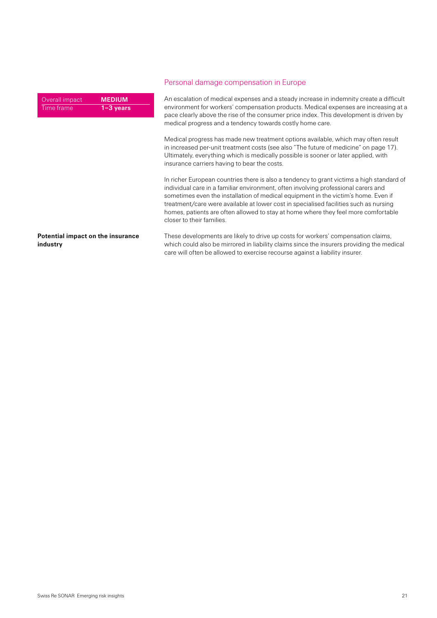| Overall impact | <b>MEDIUM</b> |
|----------------|---------------|
| . Time frame'  | $1 - 3$ years |

#### Personal damage compensation in Europe

An escalation of medical expenses and a steady increase in indemnity create a difficult environment for workers' compensation products. Medical expenses are increasing at a pace clearly above the rise of the consumer price index. This development is driven by medical progress and a tendency towards costly home care.

Medical progress has made new treatment options available, which may often result in increased per-unit treatment costs (see also "The future of medicine" on page 17). Ultimately, everything which is medically possible is sooner or later applied, with insurance carriers having to bear the costs.

In richer European countries there is also a tendency to grant victims a high standard of individual care in a familiar environment, often involving professional carers and sometimes even the installation of medical equipment in the victim's home. Even if treatment/care were available at lower cost in specialised facilities such as nursing homes, patients are often allowed to stay at home where they feel more comfortable closer to their families.

**Potential impact on the insurance industry**

These developments are likely to drive up costs for workers' compensation claims, which could also be mirrored in liability claims since the insurers providing the medical care will often be allowed to exercise recourse against a liability insurer.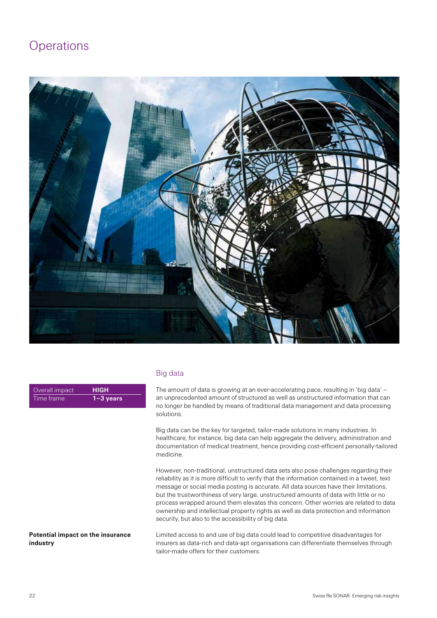### <span id="page-22-0"></span>**Operations**



| Overall impact | <b>HIGH</b>   |
|----------------|---------------|
| ∟Time frame    | $1 - 3$ years |

#### Big data

The amount of data is growing at an ever-accelerating pace, resulting in 'big data' – an unprecedented amount of structured as well as unstructured information that can no longer be handled by means of traditional data management and data processing solutions.

Big data can be the key for targeted, tailor-made solutions in many industries. In healthcare, for instance, big data can help aggregate the delivery, administration and documentation of medical treatment, hence providing cost-efficient personally-tailored medicine.

However, non-traditional, unstructured data sets also pose challenges regarding their reliability as it is more difficult to verify that the information contained in a tweet, text message or social media posting is accurate. All data sources have their limitations, but the trustworthiness of very large, unstructured amounts of data with little or no process wrapped around them elevates this concern. Other worries are related to data ownership and intellectual property rights as well as data protection and information security, but also to the accessibility of big data.

Limited access to and use of big data could lead to competitive disadvantages for insurers as data-rich and data-apt organisations can differentiate themselves through tailor-made offers for their customers. **Potential impact on the insurance** 

**industry**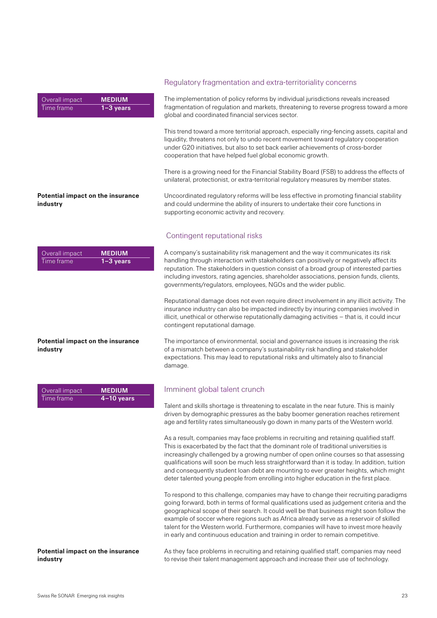| Overall impact | <b>MEDIUM</b>          |
|----------------|------------------------|
| ∟Time frame    | <sup>1</sup> 1−3 years |

#### Regulatory fragmentation and extra-territoriality concerns

The implementation of policy reforms by individual jurisdictions reveals increased fragmentation of regulation and markets, threatening to reverse progress toward a more global and coordinated financial services sector.

This trend toward a more territorial approach, especially ring-fencing assets, capital and liquidity, threatens not only to undo recent movement toward regulatory cooperation under G20 initiatives, but also to set back earlier achievements of cross-border cooperation that have helped fuel global economic growth.

There is a growing need for the Financial Stability Board (FSB) to address the effects of unilateral, protectionist, or extra-territorial regulatory measures by member states.

Uncoordinated regulatory reforms will be less effective in promoting financial stability and could undermine the ability of insurers to undertake their core functions in supporting economic activity and recovery.

#### Contingent reputational risks

A company's sustainability risk management and the way it communicates its risk handling through interaction with stakeholders can positively or negatively affect its reputation. The stakeholders in question consist of a broad group of interested parties including investors, rating agencies, shareholder associations, pension funds, clients, governments/regulators, employees, NGOs and the wider public.

Reputational damage does not even require direct involvement in any illicit activity. The insurance industry can also be impacted indirectly by insuring companies involved in illicit, unethical or otherwise reputationally damaging activities – that is, it could incur contingent reputational damage.

The importance of environmental, social and governance issues is increasing the risk of a mismatch between a company's sustainability risk handling and stakeholder expectations. This may lead to reputational risks and ultimately also to financial damage.

#### Imminent global talent crunch

Talent and skills shortage is threatening to escalate in the near future. This is mainly driven by demographic pressures as the baby boomer generation reaches retirement age and fertility rates simultaneously go down in many parts of the Western world.

As a result, companies may face problems in recruiting and retaining qualified staff. This is exacerbated by the fact that the dominant role of traditional universities is increasingly challenged by a growing number of open online courses so that assessing qualifications will soon be much less straightforward than it is today. In addition, tuition and consequently student loan debt are mounting to ever greater heights, which might deter talented young people from enrolling into higher education in the first place.

To respond to this challenge, companies may have to change their recruiting paradigms going forward, both in terms of formal qualifications used as judgement criteria and the geographical scope of their search. It could well be that business might soon follow the example of soccer where regions such as Africa already serve as a reservoir of skilled talent for the Western world. Furthermore, companies will have to invest more heavily in early and continuous education and training in order to remain competitive.

As they face problems in recruiting and retaining qualified staff, companies may need to revise their talent management approach and increase their use of technology.

**Potential impact on the insurance industry**

| Overall impact | <b>MEDIUM</b> |
|----------------|---------------|
| Time frame     | $1 - 3$ years |

#### **Potential impact on the insurance industry**

| Overall impact | <b>MEDIUM</b> |
|----------------|---------------|
| Time frame'    | $4-10$ years  |

**industry**

**Potential impact on the insurance**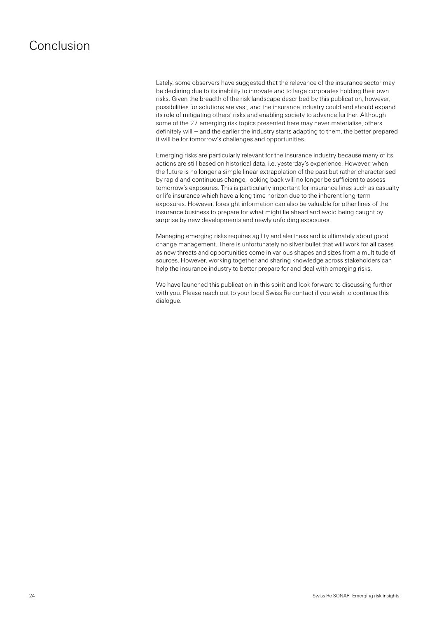### <span id="page-24-0"></span>Conclusion

Lately, some observers have suggested that the relevance of the insurance sector may be declining due to its inability to innovate and to large corporates holding their own risks. Given the breadth of the risk landscape described by this publication, however, possibilities for solutions are vast, and the insurance industry could and should expand its role of mitigating others' risks and enabling society to advance further. Although some of the 27 emerging risk topics presented here may never materialise, others definitely will – and the earlier the industry starts adapting to them, the better prepared it will be for tomorrow's challenges and opportunities.

Emerging risks are particularly relevant for the insurance industry because many of its actions are still based on historical data, i.e. yesterday's experience. However, when the future is no longer a simple linear extrapolation of the past but rather characterised by rapid and continuous change, looking back will no longer be sufficient to assess tomorrow's exposures. This is particularly important for insurance lines such as casualty or life insurance which have a long time horizon due to the inherent long-term exposures. However, foresight information can also be valuable for other lines of the insurance business to prepare for what might lie ahead and avoid being caught by surprise by new developments and newly unfolding exposures.

Managing emerging risks requires agility and alertness and is ultimately about good change management. There is unfortunately no silver bullet that will work for all cases as new threats and opportunities come in various shapes and sizes from a multitude of sources. However, working together and sharing knowledge across stakeholders can help the insurance industry to better prepare for and deal with emerging risks.

We have launched this publication in this spirit and look forward to discussing further with you. Please reach out to your local Swiss Re contact if you wish to continue this dialogue.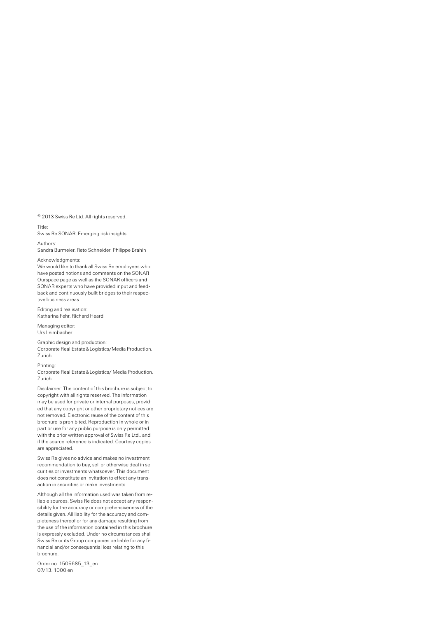© 2013 Swiss Re Ltd. All rights reserved.

#### Title:

Swiss Re SONAR, Emerging risk insights

Authors:

Sandra Burmeier, Reto Schneider, Philippe Brahin

Acknowledgments:

We would like to thank all Swiss Re employees who have posted notions and comments on the SONAR Ourspace page as well as the SONAR officers and SONAR experts who have provided input and feedback and continuously built bridges to their respective business areas.

Editing and realisation: Katharina Fehr, Richard Heard

Managing editor: Urs Leimbacher

Graphic design and production: Corporate Real Estate&Logistics/Media Production, Zurich

Printing:

Corporate Real Estate&Logistics/ Media Production, Zurich

Disclaimer: The content of this brochure is subject to copyright with all rights reserved. The information may be used for private or internal purposes, provided that any copyright or other proprietary notices are not removed. Electronic reuse of the content of this brochure is prohibited. Reproduction in whole or in part or use for any public purpose is only permitted with the prior written approval of Swiss Re Ltd., and if the source reference is indicated. Courtesy copies are appreciated.

Swiss Re gives no advice and makes no investment recommendation to buy, sell or otherwise deal in securities or investments whatsoever. This document does not constitute an invitation to effect any transaction in securities or make investments.

Although all the information used was taken from reliable sources, Swiss Re does not accept any responsibility for the accuracy or comprehensiveness of the details given. All liability for the accuracy and completeness thereof or for any damage resulting from the use of the information contained in this brochure is expressly excluded. Under no circumstances shall Swiss Re or its Group companies be liable for any financial and/or consequential loss relating to this brochure.

Order no: 1505685\_13\_en 07/13, 1000 en